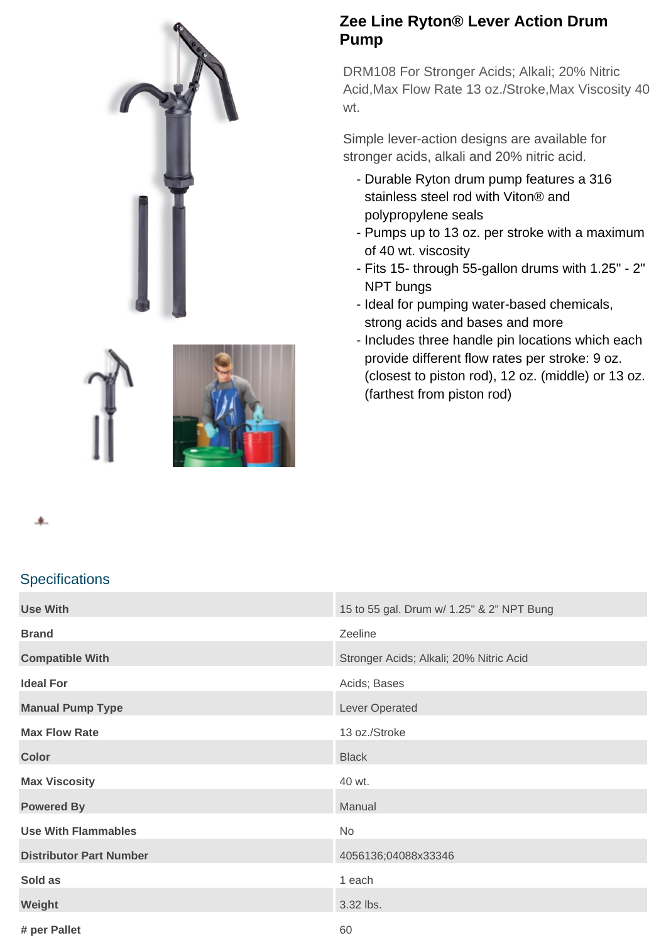

DRM108 For Stronger Acids; Alkali; 20% Nitric Acid,Max Flow Rate 13 oz./Stroke,Max Viscosity 40 wt.

Simple lever-action designs are available for stronger acids, alkali and 20% nitric acid.

- Durable Ryton drum pump features a 316 stainless steel rod with Viton® and polypropylene seals
- Pumps up to 13 oz. per stroke with a maximum of 40 wt. viscosity
- Fits 15- through 55-gallon drums with 1.25" 2" NPT bungs
- Ideal for pumping water-based chemicals, strong acids and bases and more
- Includes three handle pin locations which each provide different flow rates per stroke: 9 oz. (closest to piston rod), 12 oz. (middle) or 13 oz. (farthest from piston rod)



## **Specifications**

| <b>Use With</b>                | 15 to 55 gal. Drum w/ 1.25" & 2" NPT Bung |
|--------------------------------|-------------------------------------------|
| <b>Brand</b>                   | Zeeline                                   |
| <b>Compatible With</b>         | Stronger Acids; Alkali; 20% Nitric Acid   |
|                                |                                           |
| <b>Ideal For</b>               | Acids; Bases                              |
| <b>Manual Pump Type</b>        | Lever Operated                            |
| <b>Max Flow Rate</b>           | 13 oz./Stroke                             |
| <b>Color</b>                   | <b>Black</b>                              |
| <b>Max Viscosity</b>           | 40 wt.                                    |
| <b>Powered By</b>              | Manual                                    |
| <b>Use With Flammables</b>     | No                                        |
| <b>Distributor Part Number</b> | 4056136;04088x33346                       |
| Sold as                        | 1 each                                    |
| Weight                         | 3.32 lbs.                                 |
| # per Pallet                   | 60                                        |